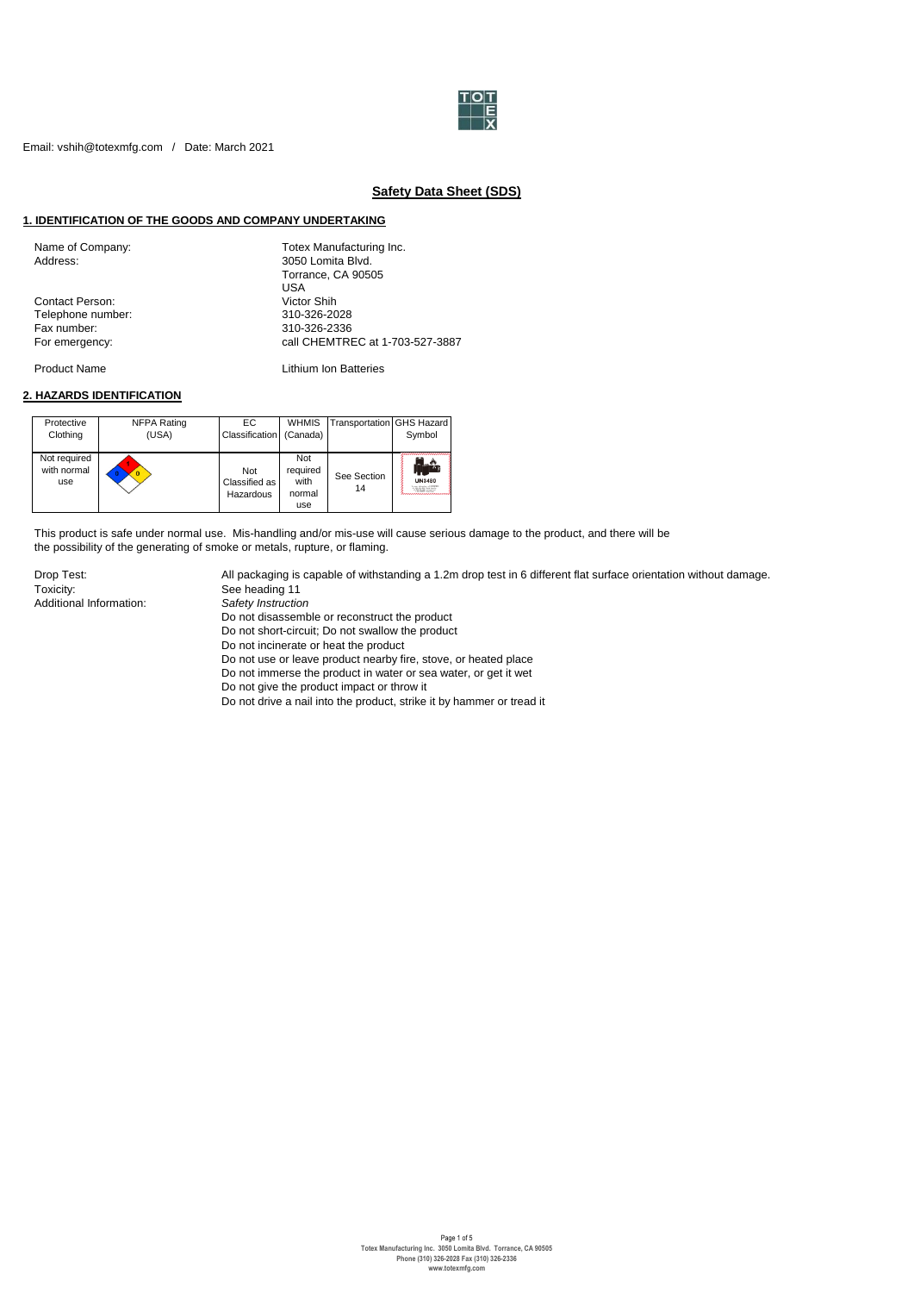

# **Safety Data Sheet (SDS)**

### **1. IDENTIFICATION OF THE GOODS AND COMPANY UNDERTAKING**

| Name of Company:<br>Address: | Totex Manufacturing Inc.<br>3050 Lomita Blvd. |
|------------------------------|-----------------------------------------------|
|                              | Torrance, CA 90505                            |
|                              | USA                                           |
| <b>Contact Person:</b>       | Victor Shih                                   |
| Telephone number:            | 310-326-2028                                  |
| Fax number:                  | 310-326-2336                                  |
| For emergency:               | call CHEMTREC at 1-703-527-3887               |
|                              |                                               |

Product Name **Lithium Ion Batteries** 

### **2. HAZARDS IDENTIFICATION**

| Protective<br>Clothing             | NFPA Rating<br>(USA) | EC.<br>Classification             | <b>WHMIS</b><br>(Canada)                 | Transportation GHS Hazard | Symbol                 |
|------------------------------------|----------------------|-----------------------------------|------------------------------------------|---------------------------|------------------------|
| Not required<br>with normal<br>use |                      | Not<br>Classified as<br>Hazardous | Not<br>required<br>with<br>normal<br>use | See Section<br>14         | <b>UN3480</b><br>-1112 |

This product is safe under normal use. Mis-handling and/or mis-use will cause serious damage to the product, and there will be the possibility of the generating of smoke or metals, rupture, or flaming.

Toxicity: See heading 11<br>Additional Information: Safety Instruction Additional Information:

Drop Test: All packaging is capable of withstanding a 1.2m drop test in 6 different flat surface orientation without damage.

- - Do not disassemble or reconstruct the product
	- Do not short-circuit; Do not swallow the product
	- Do not incinerate or heat the product
	- Do not use or leave product nearby fire, stove, or heated place
- Do not immerse the product in water or sea water, or get it wet
- Do not give the product impact or throw it
- Do not drive a nail into the product, strike it by hammer or tread it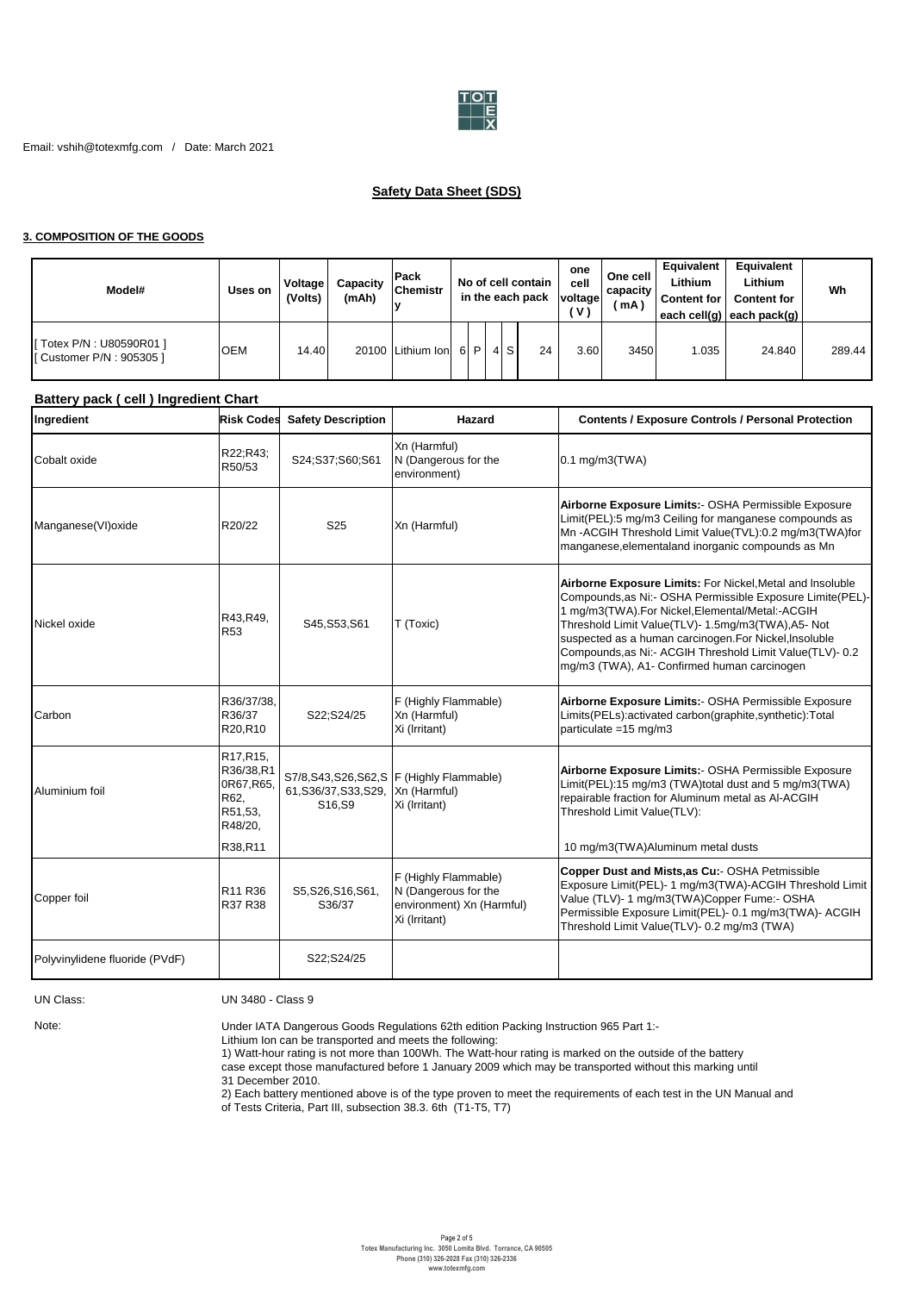

# **Safety Data Sheet (SDS)**

### **3. COMPOSITION OF THE GOODS**

| Model#                                                 | Uses on    | Voltage<br>(Volts) | Capacity<br>(mAh) | <b>Pack</b><br><b>Chemistr</b><br>IV |         |    | No of cell contain<br>in the each pack | one<br>cell<br>voltage<br>' V ' | One cell<br>capacity<br>ˈmA | Equivalent<br>Lithium<br><b>Content for</b> | Equivalent<br>Lithium<br><b>Content for</b><br>each cell(q) each pack(q) | Wh     |
|--------------------------------------------------------|------------|--------------------|-------------------|--------------------------------------|---------|----|----------------------------------------|---------------------------------|-----------------------------|---------------------------------------------|--------------------------------------------------------------------------|--------|
| [ Totex P/N : U80590R01 ]<br>[ Customer P/N : 905305 ] | <b>OEM</b> | 14.40              |                   | 20100 Lithium Ion                    | $6$   P | 4S | 24                                     | 3.60                            | 3450                        | 1.035                                       | 24.840                                                                   | 289.44 |

# **Battery pack ( cell ) lngredient Chart**

| Ingredient                     | <b>Risk Codes</b>                                                             | <b>Safety Description</b>       | Hazard                                                                                     | <b>Contents / Exposure Controls / Personal Protection</b>                                                                                                                                                                                                                                                                                                                                            |
|--------------------------------|-------------------------------------------------------------------------------|---------------------------------|--------------------------------------------------------------------------------------------|------------------------------------------------------------------------------------------------------------------------------------------------------------------------------------------------------------------------------------------------------------------------------------------------------------------------------------------------------------------------------------------------------|
| Cobalt oxide                   | R22;R43;<br>R50/53                                                            | S24;S37;S60;S61                 | Xn (Harmful)<br>N (Dangerous for the<br>environment)                                       | $0.1$ mg/m $3$ (TWA)                                                                                                                                                                                                                                                                                                                                                                                 |
| Manganese(VI)oxide             | R20/22                                                                        | S <sub>25</sub>                 | Xn (Harmful)                                                                               | Airborne Exposure Limits:- OSHA Permissible Exposure<br>Limit(PEL):5 mg/m3 Ceiling for manganese compounds as<br>Mn-ACGIH Threshold Limit Value(TVL):0.2 mg/m3(TWA)for<br>manganese, elemental and inorganic compounds as Mn                                                                                                                                                                         |
| Nickel oxide                   | R43, R49,<br>R <sub>53</sub>                                                  | S45, S53, S61                   | T (Toxic)                                                                                  | Airborne Exposure Limits: For Nickel, Metal and Insoluble<br>Compounds, as Ni:- OSHA Permissible Exposure Limite(PEL)-<br>1 mg/m3(TWA).For Nickel, Elemental/Metal:-ACGIH<br>Threshold Limit Value(TLV)- 1.5mg/m3(TWA), A5- Not<br>suspected as a human carcinogen. For Nickel, Insoluble<br>Compounds, as Ni:- ACGIH Threshold Limit Value(TLV)- 0.2<br>mg/m3 (TWA), A1- Confirmed human carcinogen |
| Carbon                         | R36/37/38,<br>R36/37<br>R20,R10                                               | S22;S24/25                      | F (Highly Flammable)<br>Xn (Harmful)<br>Xi (Irritant)                                      | Airborne Exposure Limits:- OSHA Permissible Exposure<br>Limits(PELs):activated carbon(graphite,synthetic):Total<br>particulate =15 mg/m3                                                                                                                                                                                                                                                             |
| Aluminium foil                 | R17, R15,<br>R36/38,R1<br>0R67, R65,<br>R62,<br>R51,53,<br>R48/20,<br>R38,R11 | 61, S36/37, S33, S29,<br>S16.S9 | S7/8, S43, S26, S62, S F (Highly Flammable)<br>Xn (Harmful)<br>Xi (Irritant)               | Airborne Exposure Limits:- OSHA Permissible Exposure<br>Limit(PEL):15 mg/m3 (TWA)total dust and 5 mg/m3(TWA)<br>repairable fraction for Aluminum metal as Al-ACGIH<br>Threshold Limit Value(TLV):<br>10 mg/m3(TWA)Aluminum metal dusts                                                                                                                                                               |
| Copper foil                    | R11 R36<br>R37 R38                                                            | S5, S26, S16, S61,<br>S36/37    | F (Highly Flammable)<br>N (Dangerous for the<br>environment) Xn (Harmful)<br>Xi (Irritant) | Copper Dust and Mists, as Cu:- OSHA Petmissible<br>Exposure Limit(PEL)- 1 mg/m3(TWA)-ACGIH Threshold Limit<br>Value (TLV)- 1 mg/m3(TWA)Copper Fume:- OSHA<br>Permissible Exposure Limit(PEL)- 0.1 mg/m3(TWA)- ACGIH<br>Threshold Limit Value(TLV)- 0.2 mg/m3 (TWA)                                                                                                                                   |
| Polyvinylidene fluoride (PVdF) |                                                                               | S22;S24/25                      |                                                                                            |                                                                                                                                                                                                                                                                                                                                                                                                      |

### UN Class: UN 3480 - Class 9

Note:

Under IATA Dangerous Goods Regulations 62th edition Packing Instruction 965 Part 1:-

Lithium Ion can be transported and meets the following:

1) Watt-hour rating is not more than 100Wh. The Watt-hour rating is marked on the outside of the battery case except those manufactured before 1 January 2009 which may be transported without this marking until

31 December 2010.

2) Each battery mentioned above is of the type proven to meet the requirements of each test in the UN Manual and

of Tests Criteria, Part III, subsection 38.3. 6th (T1-T5, T7)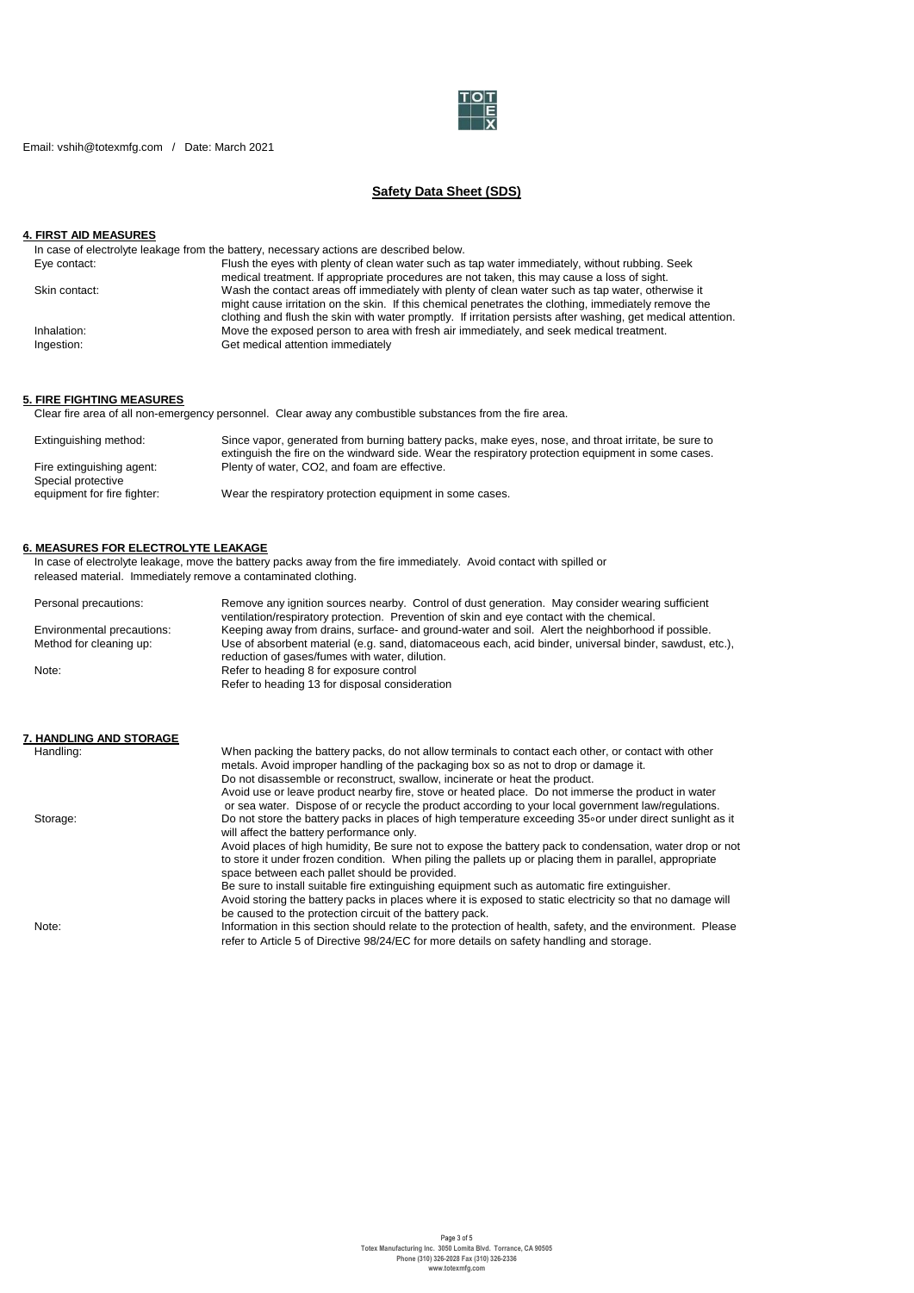

Email: vshih@totexmfg.com / Date: March 2021

# **Safety Data Sheet (SDS)**

# **4. FIRST AID MEASURES**

| In case of electrolyte leakage from the battery, necessary actions are described below.                       |
|---------------------------------------------------------------------------------------------------------------|
| Flush the eyes with plenty of clean water such as tap water immediately, without rubbing. Seek                |
| medical treatment. If appropriate procedures are not taken, this may cause a loss of sight.                   |
| Wash the contact areas off immediately with plenty of clean water such as tap water, otherwise it             |
| might cause irritation on the skin. If this chemical penetrates the clothing, immediately remove the          |
| clothing and flush the skin with water promptly. If irritation persists after washing, get medical attention. |
| Move the exposed person to area with fresh air immediately, and seek medical treatment.                       |
| Get medical attention immediately                                                                             |
|                                                                                                               |

# **5. FIRE FIGHTING MEASURES**

Clear fire area of all non-emergency personnel. Clear away any combustible substances from the fire area.

| Extinguishing method:                             | Since vapor, generated from burning battery packs, make eyes, nose, and throat irritate, be sure to<br>extinguish the fire on the windward side. Wear the respiratory protection equipment in some cases. |
|---------------------------------------------------|-----------------------------------------------------------------------------------------------------------------------------------------------------------------------------------------------------------|
| Fire extinguishing agent:                         | Plenty of water, CO2, and foam are effective.                                                                                                                                                             |
| Special protective<br>equipment for fire fighter: | Wear the respiratory protection equipment in some cases.                                                                                                                                                  |

#### **6. MEASURES FOR ELECTROLYTE LEAKAGE**

In case of electrolyte leakage, move the battery packs away from the fire immediately. Avoid contact with spilled or released material. Immediately remove a contaminated clothing.

| Personal precautions:                | Remove any ignition sources nearby. Control of dust generation. May consider wearing sufficient<br>ventilation/respiratory protection. Prevention of skin and eye contact with the chemical. |
|--------------------------------------|----------------------------------------------------------------------------------------------------------------------------------------------------------------------------------------------|
| Environmental precautions:           | Keeping away from drains, surface- and ground-water and soil. Alert the neighborhood if possible.                                                                                            |
| Method for cleaning up:              | Use of absorbent material (e.g. sand, diatomaceous each, acid binder, universal binder, sawdust, etc.),<br>reduction of gases/fumes with water, dilution.                                    |
| Note:                                | Refer to heading 8 for exposure control                                                                                                                                                      |
|                                      | Refer to heading 13 for disposal consideration                                                                                                                                               |
| 7. HANDLING AND STORAGE<br>Handling: | When packing the battery packs, do not allow terminals to contact each other, or contact with other                                                                                          |

|          | metals. Avoid improper handling of the packaging box so as not to drop or damage it.                                                                                                                                                                                    |
|----------|-------------------------------------------------------------------------------------------------------------------------------------------------------------------------------------------------------------------------------------------------------------------------|
|          | Do not disassemble or reconstruct, swallow, incinerate or heat the product.                                                                                                                                                                                             |
|          | Avoid use or leave product nearby fire, stove or heated place. Do not immerse the product in water<br>or sea water. Dispose of or recycle the product according to your local government law/regulations.                                                               |
| Storage: | Do not store the battery packs in places of high temperature exceeding 35 or under direct sunlight as it<br>will affect the battery performance only.                                                                                                                   |
|          | Avoid places of high humidity. Be sure not to expose the battery pack to condensation, water drop or not<br>to store it under frozen condition. When piling the pallets up or placing them in parallel, appropriate<br>space between each pallet should be provided.    |
|          | Be sure to install suitable fire extinguishing equipment such as automatic fire extinguisher.<br>Avoid storing the battery packs in places where it is exposed to static electricity so that no damage will<br>be caused to the protection circuit of the battery pack. |
| Note:    | Information in this section should relate to the protection of health, safety, and the environment. Please<br>refer to Article 5 of Directive 98/24/EC for more details on safety handling and storage.                                                                 |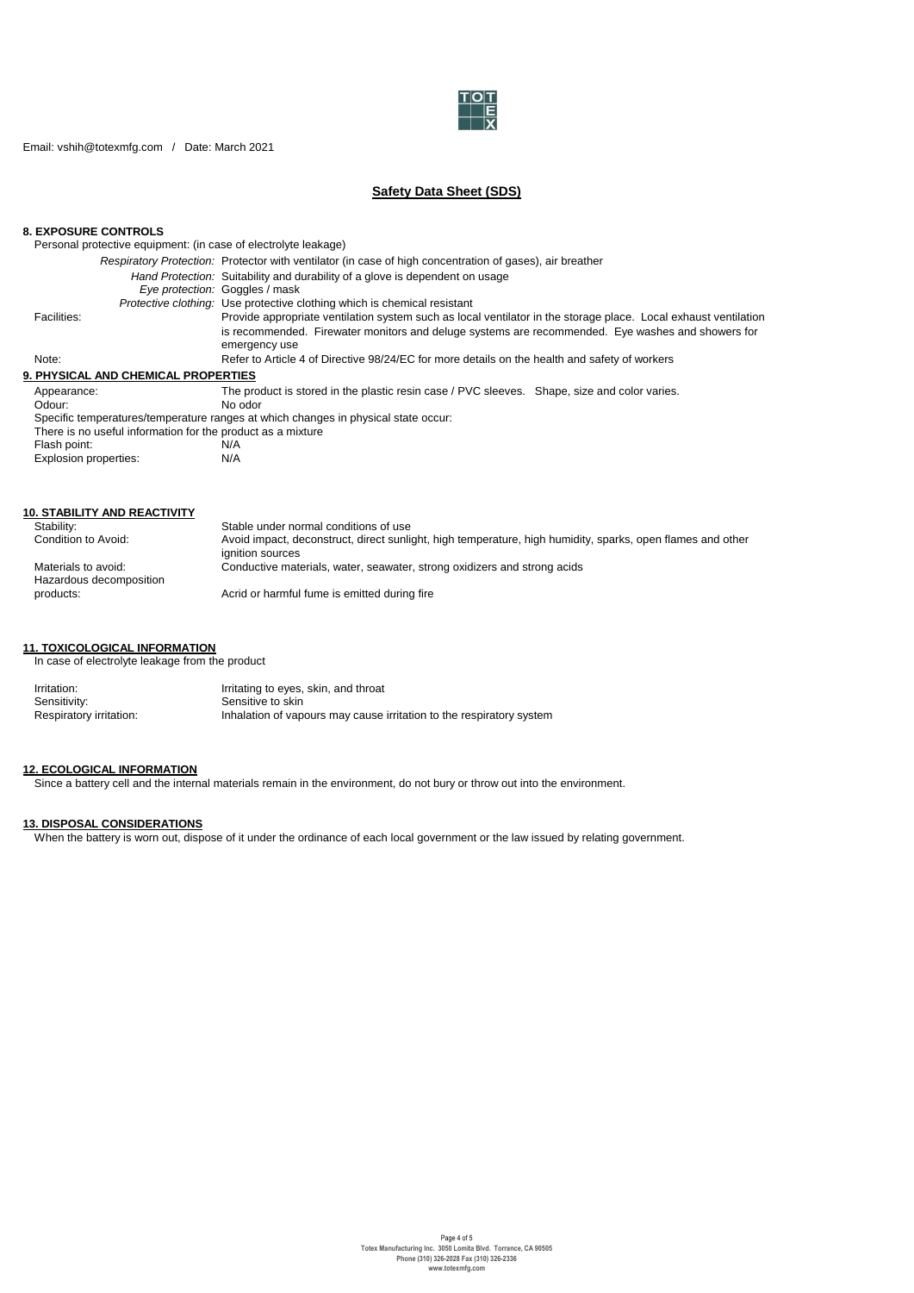

Email: vshih@totexmfg.com / Date: March 2021

# **Safety Data Sheet (SDS)**

### **8. EXPOSURE CONTROLS**

Personal protective equipment: (in case of electrolyte leakage)

|                                                             | Respiratory Protection: Protector with ventilator (in case of high concentration of gases), air breather        |
|-------------------------------------------------------------|-----------------------------------------------------------------------------------------------------------------|
|                                                             | Hand Protection: Suitability and durability of a glove is dependent on usage                                    |
|                                                             | Eve protection: Goggles / mask                                                                                  |
|                                                             | <i>Protective clothing:</i> Use protective clothing which is chemical resistant                                 |
| Facilities:                                                 | Provide appropriate ventilation system such as local ventilator in the storage place. Local exhaust ventilation |
|                                                             | is recommended. Firewater monitors and deluge systems are recommended. Eye washes and showers for               |
|                                                             | emergency use                                                                                                   |
| Note:                                                       | Refer to Article 4 of Directive 98/24/EC for more details on the health and safety of workers                   |
| <b>9. PHYSICAL AND CHEMICAL PROPERTIES</b>                  |                                                                                                                 |
| Appearance:                                                 | The product is stored in the plastic resin case / PVC sleeves. Shape, size and color varies.                    |
| Odour:                                                      | No odor                                                                                                         |
|                                                             | Specific temperatures/temperature ranges at which changes in physical state occur:                              |
| There is no useful information for the product as a mixture |                                                                                                                 |
| Flash point:                                                | N/A                                                                                                             |
| Explosion properties:                                       | N/A                                                                                                             |

| <b>10. STABILITY AND REACTIVITY</b>            |                                                                                                                                |
|------------------------------------------------|--------------------------------------------------------------------------------------------------------------------------------|
| Stability:                                     | Stable under normal conditions of use                                                                                          |
| Condition to Avoid:                            | Avoid impact, deconstruct, direct sunlight, high temperature, high humidity, sparks, open flames and other<br>ignition sources |
| Materials to avoid:<br>Hazardous decomposition | Conductive materials, water, seawater, strong oxidizers and strong acids                                                       |
| products:                                      | Acrid or harmful fume is emitted during fire                                                                                   |

### **11. TOXICOLOGICAL INFORMATION**

In case of electrolyte leakage from the product

| Irritation:             | Irritating to eyes, skin, and throat                                 |
|-------------------------|----------------------------------------------------------------------|
| Sensitivity:            | Sensitive to skin                                                    |
| Respiratory irritation: | Inhalation of vapours may cause irritation to the respiratory system |

### **12. ECOLOGICAL INFORMATION**

Since a battery cell and the internal materials remain in the environment, do not bury or throw out into the environment.

#### **13. DISPOSAL CONSIDERATIONS**

When the battery is worn out, dispose of it under the ordinance of each local government or the law issued by relating government.